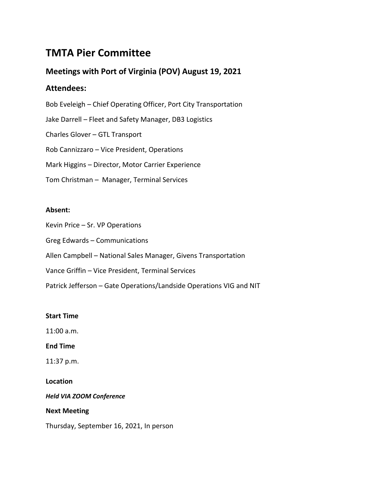# **TMTA Pier Committee**

# **Meetings with Port of Virginia (POV) August 19, 2021**

# **Attendees:**

Bob Eveleigh – Chief Operating Officer, Port City Transportation Jake Darrell – Fleet and Safety Manager, DB3 Logistics Charles Glover – GTL Transport Rob Cannizzaro – Vice President, Operations Mark Higgins – Director, Motor Carrier Experience Tom Christman – Manager, Terminal Services

## **Absent:**

Kevin Price – Sr. VP Operations

Greg Edwards – Communications

Allen Campbell – National Sales Manager, Givens Transportation

Vance Griffin – Vice President, Terminal Services

Patrick Jefferson – Gate Operations/Landside Operations VIG and NIT

### **Start Time**

11:00 a.m.

**End Time**

11:37 p.m.

## **Location**

*Held VIA ZOOM Conference*

### **Next Meeting**

Thursday, September 16, 2021, In person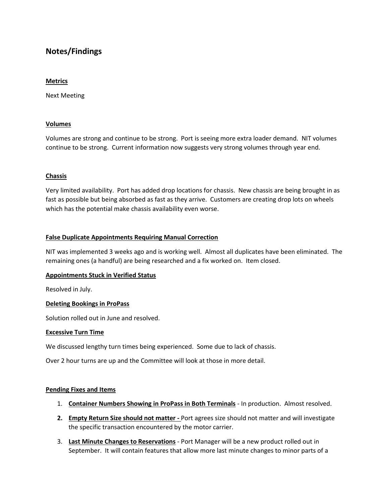# **Notes/Findings**

#### **Metrics**

Next Meeting

#### **Volumes**

Volumes are strong and continue to be strong. Port is seeing more extra loader demand. NIT volumes continue to be strong. Current information now suggests very strong volumes through year end.

#### **Chassis**

Very limited availability. Port has added drop locations for chassis. New chassis are being brought in as fast as possible but being absorbed as fast as they arrive. Customers are creating drop lots on wheels which has the potential make chassis availability even worse.

#### **False Duplicate Appointments Requiring Manual Correction**

NIT was implemented 3 weeks ago and is working well. Almost all duplicates have been eliminated. The remaining ones (a handful) are being researched and a fix worked on. Item closed.

#### **Appointments Stuck in Verified Status**

Resolved in July.

#### **Deleting Bookings in ProPass**

Solution rolled out in June and resolved.

#### **Excessive Turn Time**

We discussed lengthy turn times being experienced. Some due to lack of chassis.

Over 2 hour turns are up and the Committee will look at those in more detail.

#### **Pending Fixes and Items**

- 1. **Container Numbers Showing in ProPass in Both Terminals** In production. Almost resolved.
- **2. Empty Return Size should not matter -** Port agrees size should not matter and will investigate the specific transaction encountered by the motor carrier.
- 3. **Last Minute Changes to Reservations** Port Manager will be a new product rolled out in September. It will contain features that allow more last minute changes to minor parts of a